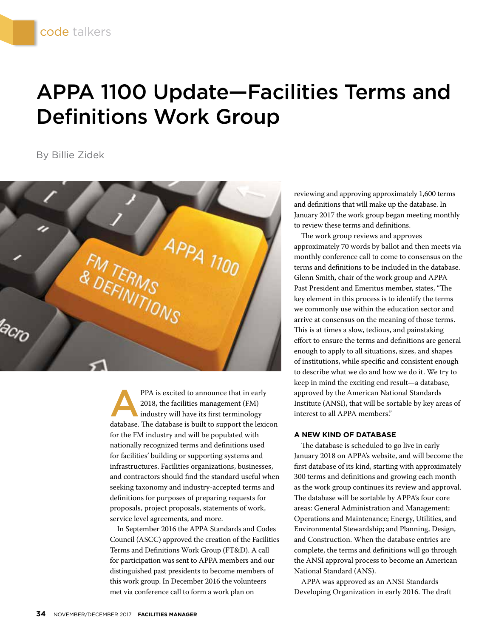## APPA 1100 Update—Facilities Terms and Definitions Work Group

By Billie Zidek



PPA is excited to announce that in early<br>2018, the facilities management (FM)<br>industry will have its first terminology<br>database. The database is built to support the lovis 2018, the facilities management (FM) industry will have its first terminology database. The database is built to support the lexicon for the FM industry and will be populated with nationally recognized terms and definitions used for facilities' building or supporting systems and infrastructures. Facilities organizations, businesses, and contractors should find the standard useful when seeking taxonomy and industry-accepted terms and definitions for purposes of preparing requests for proposals, project proposals, statements of work, service level agreements, and more.

In September 2016 the APPA Standards and Codes Council (ASCC) approved the creation of the Facilities Terms and Definitions Work Group (FT&D). A call for participation was sent to APPA members and our distinguished past presidents to become members of this work group. In December 2016 the volunteers met via conference call to form a work plan on

reviewing and approving approximately 1,600 terms and definitions that will make up the database. In January 2017 the work group began meeting monthly to review these terms and definitions.

The work group reviews and approves approximately 70 words by ballot and then meets via monthly conference call to come to consensus on the terms and definitions to be included in the database. Glenn Smith, chair of the work group and APPA Past President and Emeritus member, states, "The key element in this process is to identify the terms we commonly use within the education sector and arrive at consensus on the meaning of those terms. This is at times a slow, tedious, and painstaking effort to ensure the terms and definitions are general enough to apply to all situations, sizes, and shapes of institutions, while specific and consistent enough to describe what we do and how we do it. We try to keep in mind the exciting end result—a database, approved by the American National Standards Institute (ANSI), that will be sortable by key areas of interest to all APPA members."

## **A NEW KIND OF DATABASE**

The database is scheduled to go live in early January 2018 on APPA's website, and will become the first database of its kind, starting with approximately 300 terms and definitions and growing each month as the work group continues its review and approval. The database will be sortable by APPA's four core areas: General Administration and Management; Operations and Maintenance; Energy, Utilities, and Environmental Stewardship; and Planning, Design, and Construction. When the database entries are complete, the terms and definitions will go through the ANSI approval process to become an American National Standard (ANS).

APPA was approved as an ANSI Standards Developing Organization in early 2016. The draft